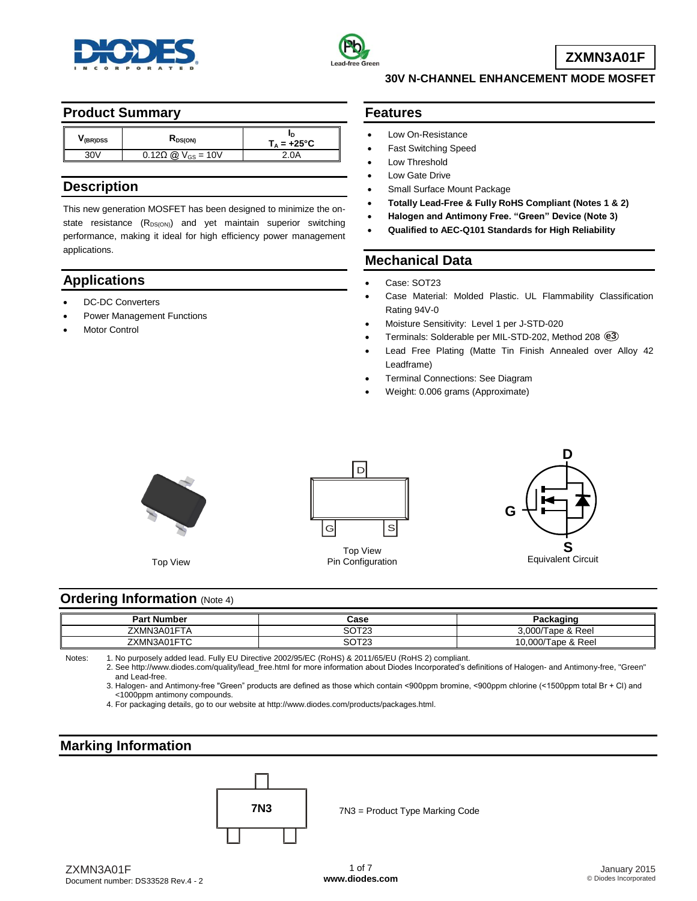



**ZXMN3A01F**

## **Product Summary**

| V(BR)DSS | K <sub>DS(ON)</sub>                | $T_A = +25^{\circ}C$ |
|----------|------------------------------------|----------------------|
|          | $0.12\Omega$ @ $V_{\rm{GS}} = 10V$ | 0A                   |

## **Description**

This new generation MOSFET has been designed to minimize the onstate resistance  $(R_{DS(ON)})$  and yet maintain superior switching performance, making it ideal for high efficiency power management applications.

# **Applications**

- DC-DC Converters
- Power Management Functions
- Motor Control

### **Features**

- Low On-Resistance
- Fast Switching Speed
- Low Threshold
- Low Gate Drive
- Small Surface Mount Package
- **Totally Lead-Free & Fully RoHS Compliant (Notes 1 & 2)**

**30V N-CHANNEL ENHANCEMENT MODE MOSFET**

- **Halogen and Antimony Free. "Green" Device (Note 3)**
- **Qualified to AEC-Q101 Standards for High Reliability**

## **Mechanical Data**

- Case: SOT23
- Case Material: Molded Plastic. UL Flammability Classification Rating 94V-0
- Moisture Sensitivity: Level 1 per J-STD-020
- Terminals: Solderable per MIL-STD-202, Method 208 **e3**
- Lead Free Plating (Matte Tin Finish Annealed over Alloy 42 Leadframe)
- Terminal Connections: See Diagram
- Weight: 0.006 grams (Approximate)



Top View



Top View Pin Configuration



#### **Ordering Information** (Note 4)

| <b>Part Number</b>           | Case                         | Packaging                         |
|------------------------------|------------------------------|-----------------------------------|
| ∠XMN3A01F <sup>+</sup><br>١A | ממדרי<br>، ب<br>۱۷۰          | 3.000/T<br>Tape & Reel            |
| 301570<br>ZXMN3A01<br>┙      | מתדרי<br>י שכ<br>ت ۱ د<br>__ | $0.00 \pi$<br>Tape & Reel<br>wuv. |

Notes: 1. No purposely added lead. Fully EU Directive 2002/95/EC (RoHS) & 2011/65/EU (RoHS 2) compliant.

2. See [http://www.diodes.com/quality/lead\\_free.html](http://www.diodes.com/quality/lead_free.html) for more information about Diodes Incorporated's definitions of Halogen- and Antimony-free, "Green" and Lead-free.

3. Halogen- and Antimony-free "Green" products are defined as those which contain <900ppm bromine, <900ppm chlorine (<1500ppm total Br + Cl) and <1000ppm antimony compounds.

4. For packaging details, go to our website at [http://www.diodes.com/products/packages.html.](http://www.diodes.com/products/packages.html)

## **Marking Information**



**7N3** 7N3 = Product Type Marking Code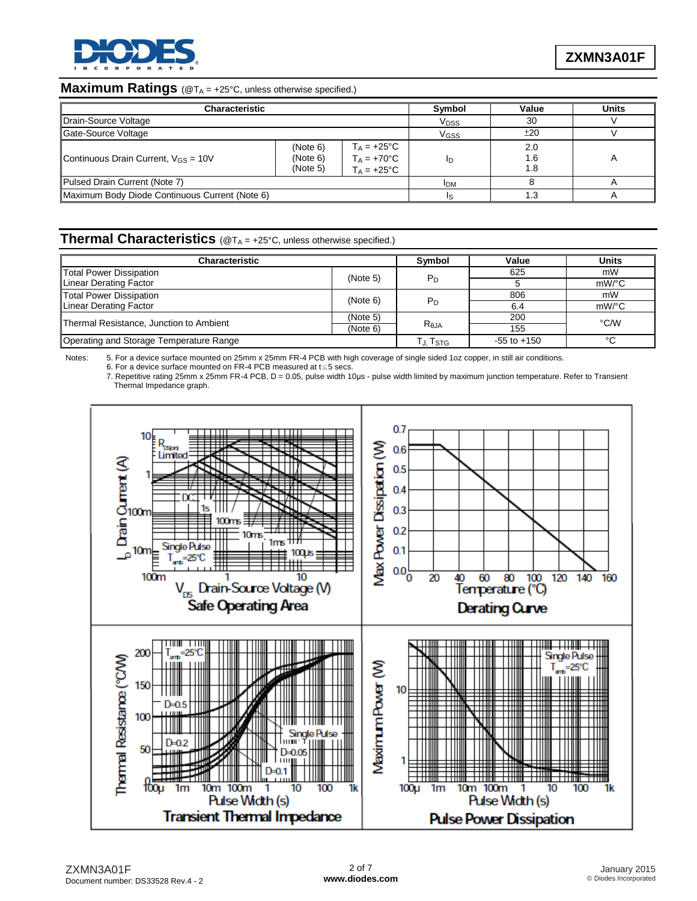

#### **Maximum Ratings** (@TA = +25°C, unless otherwise specified.)

| <b>Characteristic</b>                          | Symbol                           | Value                                                                | <b>Units</b>     |             |  |
|------------------------------------------------|----------------------------------|----------------------------------------------------------------------|------------------|-------------|--|
| Drain-Source Voltage                           |                                  |                                                                      | V <sub>DSS</sub> | 30          |  |
| Gate-Source Voltage                            | V <sub>GSS</sub>                 | ±20                                                                  |                  |             |  |
| Continuous Drain Current, $V_{GS} = 10V$       | (Note 6)<br>(Note 6)<br>(Note 5) | $T_A = +25^{\circ}C$<br>$T_A = +70^{\circ}C$<br>$T_A = +25^{\circ}C$ | In               | 2.0<br>8. ا |  |
| Pulsed Drain Current (Note 7)                  |                                  |                                                                      | <b>IDM</b>       |             |  |
| Maximum Body Diode Continuous Current (Note 6) |                                  |                                                                      |                  |             |  |

#### **Thermal Characteristics** (@TA = +25°C, unless otherwise specified.)

| <b>Characteristic</b>                   |          | Symbol           | Value           | <b>Units</b> |  |
|-----------------------------------------|----------|------------------|-----------------|--------------|--|
| Total Power Dissipation                 | (Note 5) |                  | 625             | mW           |  |
| Linear Derating Factor                  |          | P <sub>D</sub>   |                 | mW/°C        |  |
| <b>Total Power Dissipation</b>          | (Note 6) |                  | 806             | mW           |  |
| Linear Derating Factor                  |          | $P_D$            | 6.4             | mW/°C        |  |
| Thermal Resistance, Junction to Ambient | (Note 5) |                  | 200             | °C/W         |  |
|                                         | (Note 6) | R <sub>0JA</sub> | 155             |              |  |
| Operating and Storage Temperature Range |          | Tj. Tstg         | $-55$ to $+150$ | $\sim$       |  |

Notes: 5. For a device surface mounted on 25mm x 25mm FR-4 PCB with high coverage of single sided 1oz copper, in still air conditions.

6. For a device surface mounted on FR-4 PCB measured at t≦5 secs.

7. Repetitive rating 25mm x 25mm FR-4 PCB, D = 0.05, pulse width 10µs - pulse width limited by maximum junction temperature. Refer to Transient Thermal Impedance graph.

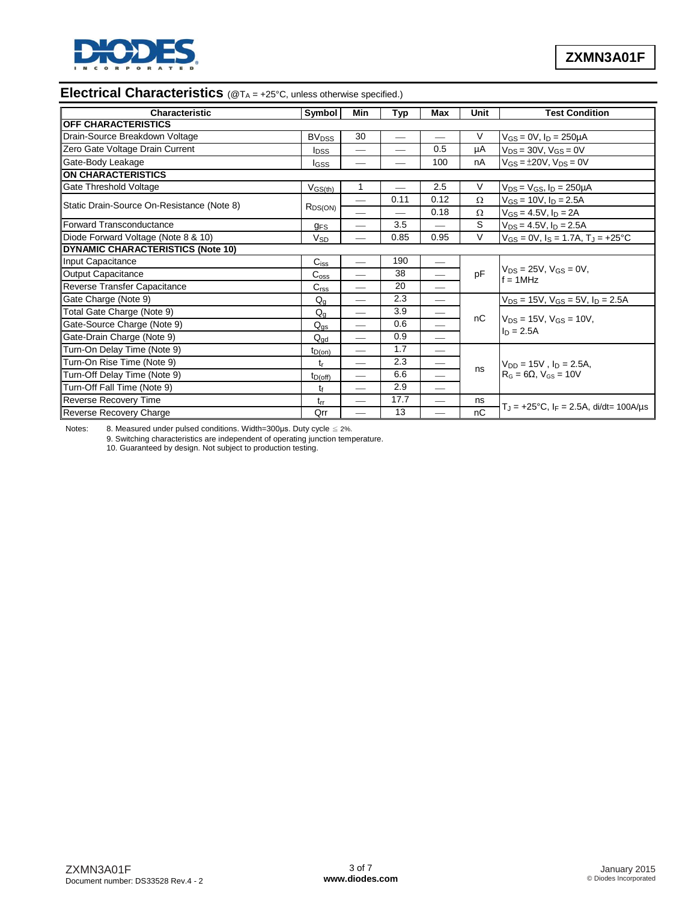

# **Electrical Characteristics** (@T<sub>A</sub> = +25°C, unless otherwise specified.)

| Characteristic                             | Symbol                  | Min                           | <b>Typ</b>               | Max                           | Unit     | <b>Test Condition</b>                                         |  |
|--------------------------------------------|-------------------------|-------------------------------|--------------------------|-------------------------------|----------|---------------------------------------------------------------|--|
| <b>OFF CHARACTERISTICS</b>                 |                         |                               |                          |                               |          |                                                               |  |
| Drain-Source Breakdown Voltage             | <b>BV<sub>DSS</sub></b> | 30                            | $\overline{\phantom{0}}$ |                               | V        | $V_{GS} = 0V$ , $I_D = 250 \mu A$                             |  |
| Zero Gate Voltage Drain Current            | <b>I</b> <sub>DSS</sub> |                               |                          | 0.5                           | μA       | $V_{DS} = 30V$ , $V_{GS} = 0V$                                |  |
| Gate-Body Leakage                          | lgss                    |                               |                          | 100                           | nA       | $V_{GS} = \pm 20V$ , $V_{DS} = 0V$                            |  |
| <b>ON CHARACTERISTICS</b>                  |                         |                               |                          |                               |          |                                                               |  |
| Gate Threshold Voltage                     | $V_{GS(th)}$            | $\mathbf{1}$                  |                          | 2.5                           | V        | $V_{DS} = V_{GS}$ , $I_D = 250 \mu A$                         |  |
| Static Drain-Source On-Resistance (Note 8) |                         |                               | 0.11                     | 0.12                          | Ω        | $V_{GS}$ = 10V, $I_D$ = 2.5A                                  |  |
|                                            | $R_{DS(ON)}$            |                               |                          | 0.18                          | $\Omega$ | $V_{GS} = 4.5V, I_D = 2A$                                     |  |
| Forward Transconductance                   | <b>GFS</b>              |                               | 3.5                      |                               | S        | $V_{DS} = 4.5V$ , $I_D = 2.5A$                                |  |
| Diode Forward Voltage (Note 8 & 10)        | $V_{SD}$                |                               | 0.85                     | 0.95                          | V        | $V_{GS} = 0V$ , $I_S = 1.7A$ , $T_J = +25$ °C                 |  |
| <b>DYNAMIC CHARACTERISTICS (Note 10)</b>   |                         |                               |                          |                               |          |                                                               |  |
| Input Capacitance                          | $C_{iss}$               | $\hspace{0.05cm}$             | 190                      |                               |          |                                                               |  |
| <b>Output Capacitance</b>                  | C <sub>oss</sub>        | $\hspace{0.05cm}$             | 38                       | $\qquad \qquad$               | pF       | $V_{DS} = 25V$ , $V_{GS} = 0V$ ,<br>$f = 1$ MHz               |  |
| Reverse Transfer Capacitance               | C <sub>rss</sub>        |                               | 20                       |                               |          |                                                               |  |
| Gate Charge (Note 9)                       | $Q_{q}$                 | $\overbrace{\phantom{aaaaa}}$ | 2.3                      |                               |          | $V_{DS}$ = 15V, $V_{GS}$ = 5V, $I_D$ = 2.5A                   |  |
| Total Gate Charge (Note 9)                 | $Q_{\alpha}$            | $\hspace{0.05cm}$             | 3.9                      | $\overline{\phantom{m}}$      | nC       | $V_{DS} = 15V$ , $V_{GS} = 10V$ ,<br>$I_D = 2.5A$             |  |
| Gate-Source Charge (Note 9)                | $Q_{\text{qs}}$         | $\overline{\phantom{m}}$      | 0.6                      | $\overbrace{\phantom{12332}}$ |          |                                                               |  |
| Gate-Drain Charge (Note 9)                 | $Q_{dd}$                |                               | 0.9                      |                               |          |                                                               |  |
| Turn-On Delay Time (Note 9)                | $t_{D(on)}$             | $\overline{\phantom{m}}$      | 1.7                      | $\overbrace{\phantom{12333}}$ |          | $V_{DD} = 15V$ , $I_D = 2.5A$<br>$RG = 6\Omega$ , $VGS = 10V$ |  |
| Turn-On Rise Time (Note 9)                 | t <sub>r</sub>          | $\overbrace{\phantom{aaaaa}}$ | 2.3                      | $\hspace{0.05cm}$             |          |                                                               |  |
| Turn-Off Delay Time (Note 9)               | $t_{D(off)}$            | $\hspace{0.05cm}$             | 6.6                      |                               | ns       |                                                               |  |
| Turn-Off Fall Time (Note 9)                | tŧ                      |                               | 2.9                      |                               |          |                                                               |  |
| Reverse Recovery Time                      | $t_{rr}$                |                               | 17.7                     |                               | ns       |                                                               |  |
| Reverse Recovery Charge                    | Qrr                     | $\overline{\phantom{0}}$      | 13                       |                               | nC       | $T_J = +25$ °C, $I_F = 2.5A$ , di/dt= 100A/µs                 |  |

Notes: 8. Measured under pulsed conditions. Width=300us. Duty cycle  $\leq$  2%.

9. Switching characteristics are independent of operating junction temperature. 10. Guaranteed by design. Not subject to production testing.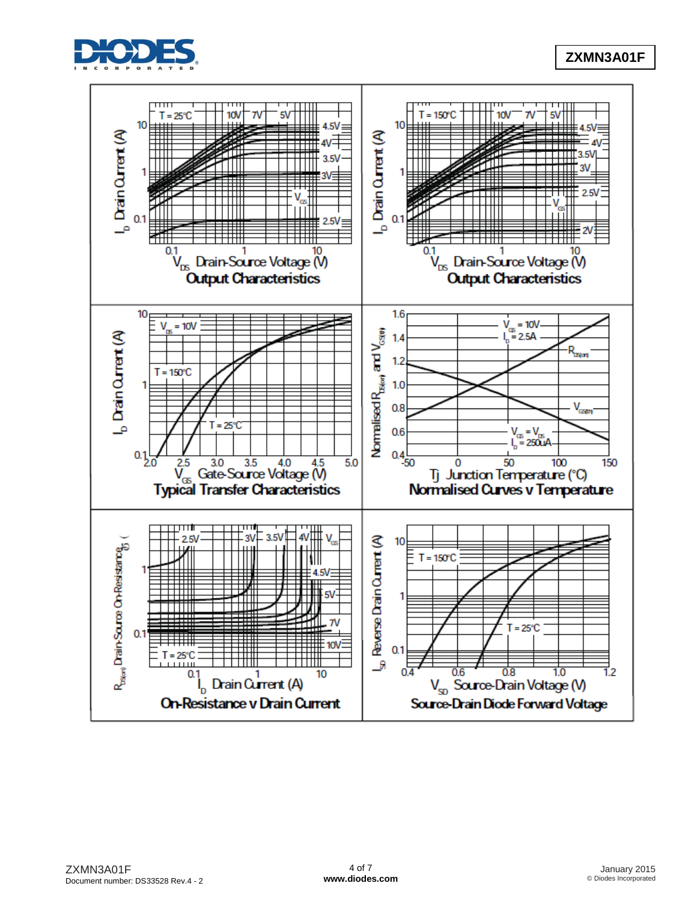

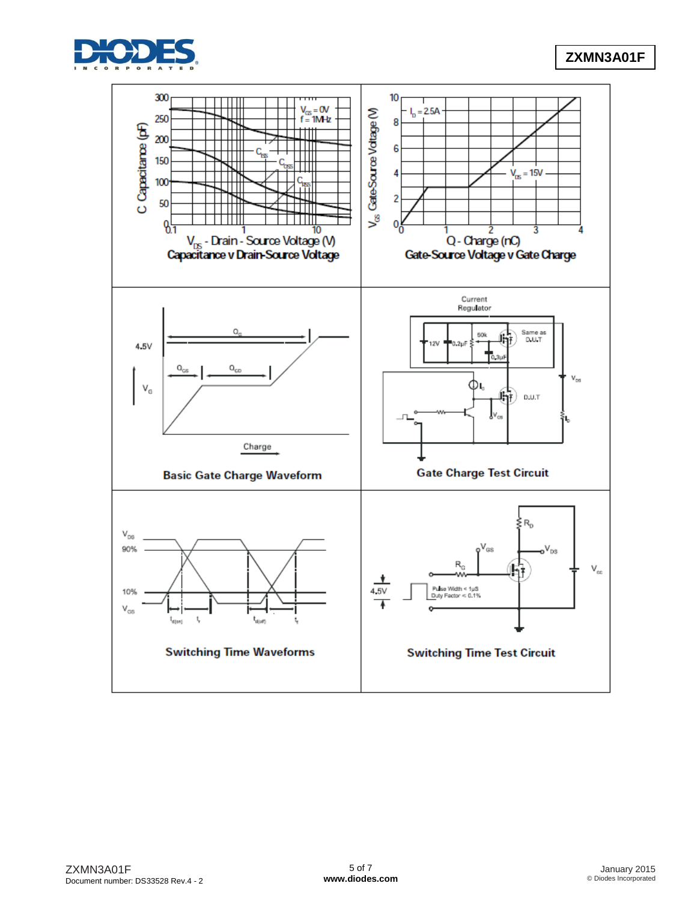

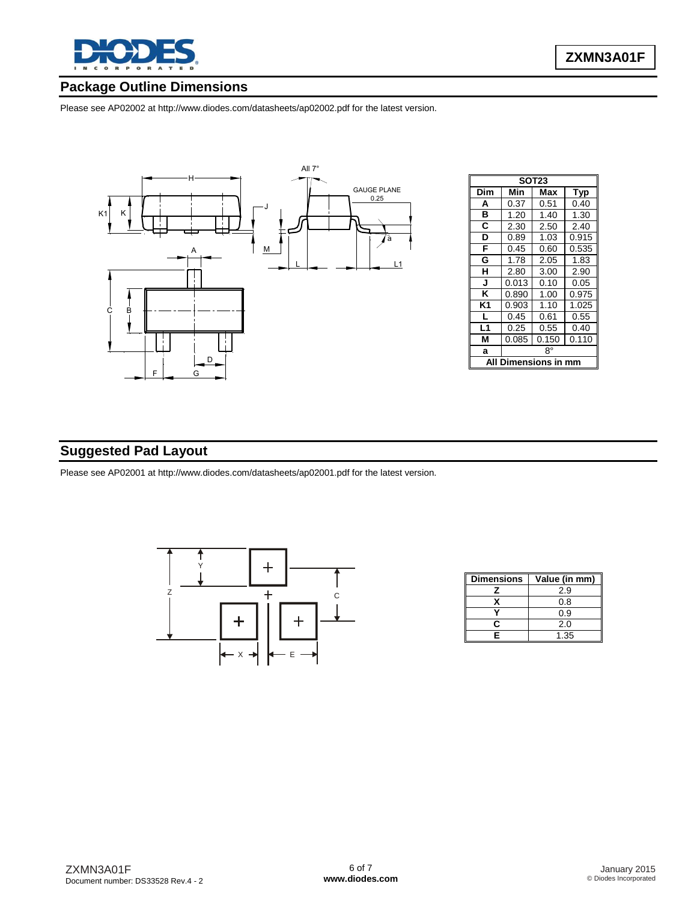

## **Package Outline Dimensions**

Please see AP02002 at [http://www.diodes.com/datasheets/ap02002.pdf fo](http://www.diodes.com/datasheets/ap02002.pdf)r the latest version.



| <b>SOT23</b> |                      |       |            |  |  |  |
|--------------|----------------------|-------|------------|--|--|--|
| Dim          | Min                  | Max   | <b>Typ</b> |  |  |  |
| A            | 0.37                 | 0.51  | 0.40       |  |  |  |
| в            | 1.20                 | 1.40  | 1.30       |  |  |  |
| C            | 2.30                 | 2.50  | 2.40       |  |  |  |
| D            | 0.89                 | 1.03  | 0.915      |  |  |  |
| F            | 0.45                 | 0.60  | 0.535      |  |  |  |
| G            | 1.78                 | 2.05  | 1.83       |  |  |  |
| н            | 2.80                 | 3.00  | 2.90       |  |  |  |
| J            | 0.013                | 0.10  | 0.05       |  |  |  |
| Κ            | 0.890                | 1.00  | 0.975      |  |  |  |
| K1           | 0.903                | 1.10  | 1.025      |  |  |  |
| L            | 0.45                 | 0.61  | 0.55       |  |  |  |
| L1           | 0.25                 | 0.55  | 0.40       |  |  |  |
| М            | 0.085                | 0.150 | 0.110      |  |  |  |
| a            | R۰                   |       |            |  |  |  |
| A            | <b>Dimensions in</b> |       |            |  |  |  |

## **Suggested Pad Layout**

Please see AP02001 at [http://www.diodes.com/datasheets/ap02001.pdf fo](http://www.diodes.com/datasheets/ap02001.pdf)r the latest version.



| <b>Dimensions</b> | Value (in mm) |
|-------------------|---------------|
|                   | 2.9           |
|                   | 0.8           |
|                   | 0.9           |
| n                 | 2.0           |
| F                 | 1.35          |